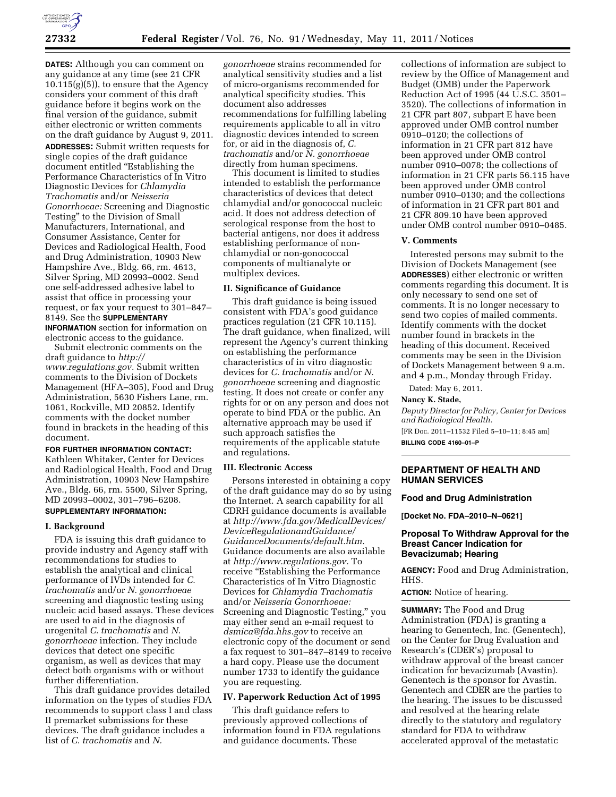

**DATES:** Although you can comment on any guidance at any time (see 21 CFR  $10.115(g)(5)$ , to ensure that the Agency considers your comment of this draft guidance before it begins work on the final version of the guidance, submit either electronic or written comments on the draft guidance by August 9, 2011. **ADDRESSES:** Submit written requests for single copies of the draft guidance document entitled ''Establishing the Performance Characteristics of In Vitro Diagnostic Devices for *Chlamydia Trachomatis* and/or *Neisseria Gonorrhoeae:* Screening and Diagnostic Testing'' to the Division of Small Manufacturers, International, and Consumer Assistance, Center for Devices and Radiological Health, Food and Drug Administration, 10903 New Hampshire Ave., Bldg. 66, rm. 4613, Silver Spring, MD 20993–0002. Send one self-addressed adhesive label to assist that office in processing your request, or fax your request to 301–847– 8149. See the **SUPPLEMENTARY INFORMATION** section for information on

electronic access to the guidance. Submit electronic comments on the draft guidance to *[http://](http://www.regulations.gov)  [www.regulations.gov.](http://www.regulations.gov)* Submit written comments to the Division of Dockets Management (HFA–305), Food and Drug Administration, 5630 Fishers Lane, rm. 1061, Rockville, MD 20852. Identify comments with the docket number found in brackets in the heading of this document.

## **FOR FURTHER INFORMATION CONTACT:**

Kathleen Whitaker, Center for Devices and Radiological Health, Food and Drug Administration, 10903 New Hampshire Ave., Bldg. 66, rm. 5500, Silver Spring, MD 20993–0002, 301–796–6208. **SUPPLEMENTARY INFORMATION:** 

## **I. Background**

FDA is issuing this draft guidance to provide industry and Agency staff with recommendations for studies to establish the analytical and clinical performance of IVDs intended for *C. trachomatis* and/or *N. gonorrhoeae*  screening and diagnostic testing using nucleic acid based assays. These devices are used to aid in the diagnosis of urogenital *C. trachomatis* and *N. gonorrhoeae* infection. They include devices that detect one specific organism, as well as devices that may detect both organisms with or without further differentiation.

This draft guidance provides detailed information on the types of studies FDA recommends to support class I and class II premarket submissions for these devices. The draft guidance includes a list of *C. trachomatis* and *N.* 

*gonorrhoeae* strains recommended for analytical sensitivity studies and a list of micro-organisms recommended for analytical specificity studies. This document also addresses recommendations for fulfilling labeling requirements applicable to all in vitro diagnostic devices intended to screen for, or aid in the diagnosis of, *C. trachomatis* and/or *N. gonorrhoeae*  directly from human specimens.

This document is limited to studies intended to establish the performance characteristics of devices that detect chlamydial and/or gonococcal nucleic acid. It does not address detection of serological response from the host to bacterial antigens, nor does it address establishing performance of nonchlamydial or non-gonococcal components of multianalyte or multiplex devices.

### **II. Significance of Guidance**

This draft guidance is being issued consistent with FDA's good guidance practices regulation (21 CFR 10.115). The draft guidance, when finalized, will represent the Agency's current thinking on establishing the performance characteristics of in vitro diagnostic devices for *C. trachomatis* and/or *N. gonorrhoeae* screening and diagnostic testing. It does not create or confer any rights for or on any person and does not operate to bind FDA or the public. An alternative approach may be used if such approach satisfies the requirements of the applicable statute and regulations.

### **III. Electronic Access**

Persons interested in obtaining a copy of the draft guidance may do so by using the Internet. A search capability for all CDRH guidance documents is available at *[http://www.fda.gov/MedicalDevices/](http://www.fda.gov/MedicalDevices/DeviceRegulationandGuidance/GuidanceDocuments/default.htm) [DeviceRegulationandGuidance/](http://www.fda.gov/MedicalDevices/DeviceRegulationandGuidance/GuidanceDocuments/default.htm)  [GuidanceDocuments/default.htm.](http://www.fda.gov/MedicalDevices/DeviceRegulationandGuidance/GuidanceDocuments/default.htm)*  Guidance documents are also available at *[http://www.regulations.gov.](http://www.regulations.gov)* To receive "Establishing the Performance Characteristics of In Vitro Diagnostic Devices for *Chlamydia Trachomatis*  and/or *Neisseria Gonorrhoeae:*  Screening and Diagnostic Testing,'' you may either send an e-mail request to *[dsmica@fda.hhs.gov](mailto:dsmica@fda.hhs.gov)* to receive an electronic copy of the document or send a fax request to 301–847–8149 to receive a hard copy. Please use the document number 1733 to identify the guidance you are requesting.

### **IV. Paperwork Reduction Act of 1995**

This draft guidance refers to previously approved collections of information found in FDA regulations and guidance documents. These

collections of information are subject to review by the Office of Management and Budget (OMB) under the Paperwork Reduction Act of 1995 (44 U.S.C. 3501– 3520). The collections of information in 21 CFR part 807, subpart E have been approved under OMB control number 0910–0120; the collections of information in 21 CFR part 812 have been approved under OMB control number 0910–0078; the collections of information in 21 CFR parts 56.115 have been approved under OMB control number 0910–0130; and the collections of information in 21 CFR part 801 and 21 CFR 809.10 have been approved under OMB control number 0910–0485.

### **V. Comments**

Interested persons may submit to the Division of Dockets Management (see **ADDRESSES**) either electronic or written comments regarding this document. It is only necessary to send one set of comments. It is no longer necessary to send two copies of mailed comments. Identify comments with the docket number found in brackets in the heading of this document. Received comments may be seen in the Division of Dockets Management between 9 a.m. and 4 p.m., Monday through Friday.

Dated: May 6, 2011.

## **Nancy K. Stade,**

*Deputy Director for Policy, Center for Devices and Radiological Health.* 

[FR Doc. 2011–11532 Filed 5–10–11; 8:45 am] **BILLING CODE 4160–01–P** 

# **DEPARTMENT OF HEALTH AND HUMAN SERVICES**

### **Food and Drug Administration**

**[Docket No. FDA–2010–N–0621]** 

# **Proposal To Withdraw Approval for the Breast Cancer Indication for Bevacizumab; Hearing**

**AGENCY:** Food and Drug Administration, HHS.

**ACTION:** Notice of hearing.

**SUMMARY:** The Food and Drug Administration (FDA) is granting a hearing to Genentech, Inc. (Genentech), on the Center for Drug Evaluation and Research's (CDER's) proposal to withdraw approval of the breast cancer indication for bevacizumab (Avastin). Genentech is the sponsor for Avastin. Genentech and CDER are the parties to the hearing. The issues to be discussed and resolved at the hearing relate directly to the statutory and regulatory standard for FDA to withdraw accelerated approval of the metastatic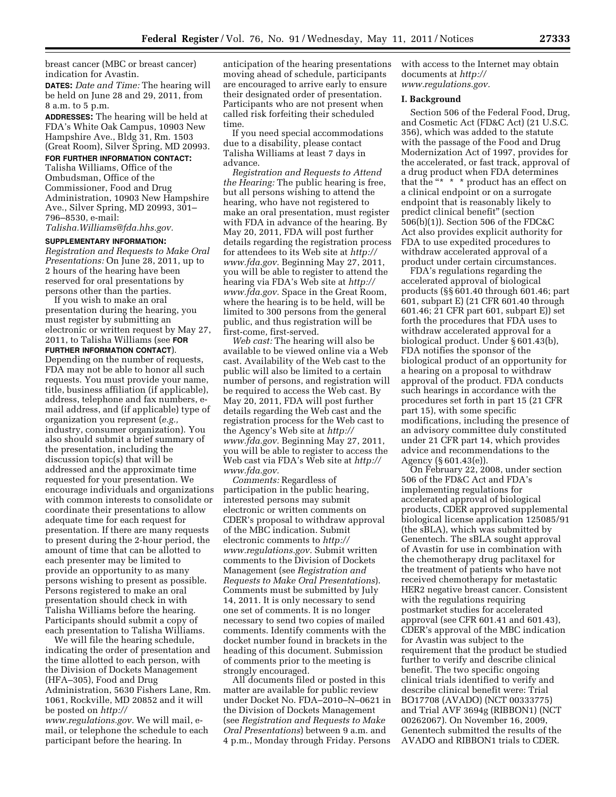breast cancer (MBC or breast cancer) indication for Avastin.

**DATES:** *Date and Time:* The hearing will be held on June 28 and 29, 2011, from 8 a.m. to 5 p.m.

**ADDRESSES:** The hearing will be held at FDA's White Oak Campus, 10903 New Hampshire Ave., Bldg 31, Rm. 1503 (Great Room), Silver Spring, MD 20993.

# **FOR FURTHER INFORMATION CONTACT:**

Talisha Williams, Office of the Ombudsman, Office of the Commissioner, Food and Drug Administration, 10903 New Hampshire Ave., Silver Spring, MD 20993, 301– 796–8530, e-mail:

*[Talisha.Williams@fda.hhs.gov.](mailto:Talisha.Williams@fda.hhs.gov)* 

#### **SUPPLEMENTARY INFORMATION:**

*Registration and Requests to Make Oral Presentations:* On June 28, 2011, up to 2 hours of the hearing have been reserved for oral presentations by persons other than the parties.

If you wish to make an oral presentation during the hearing, you must register by submitting an electronic or written request by May 27, 2011, to Talisha Williams (see **FOR FURTHER INFORMATION CONTACT**). Depending on the number of requests, FDA may not be able to honor all such requests. You must provide your name, title, business affiliation (if applicable), address, telephone and fax numbers, email address, and (if applicable) type of organization you represent (*e.g.,*  industry, consumer organization). You also should submit a brief summary of the presentation, including the discussion topic(s) that will be addressed and the approximate time requested for your presentation. We encourage individuals and organizations with common interests to consolidate or coordinate their presentations to allow adequate time for each request for presentation. If there are many requests to present during the 2-hour period, the amount of time that can be allotted to each presenter may be limited to provide an opportunity to as many persons wishing to present as possible. Persons registered to make an oral presentation should check in with Talisha Williams before the hearing. Participants should submit a copy of each presentation to Talisha Williams.

We will file the hearing schedule, indicating the order of presentation and the time allotted to each person, with the Division of Dockets Management (HFA–305), Food and Drug Administration, 5630 Fishers Lane, Rm. 1061, Rockville, MD 20852 and it will be posted on *[http://](http://www.regulations.gov) [www.regulations.gov.](http://www.regulations.gov)* We will mail, email, or telephone the schedule to each participant before the hearing. In

anticipation of the hearing presentations moving ahead of schedule, participants are encouraged to arrive early to ensure their designated order of presentation. Participants who are not present when called risk forfeiting their scheduled time.

If you need special accommodations due to a disability, please contact Talisha Williams at least 7 days in advance.

*Registration and Requests to Attend the Hearing:* The public hearing is free, but all persons wishing to attend the hearing, who have not registered to make an oral presentation, must register with FDA in advance of the hearing. By May 20, 2011, FDA will post further details regarding the registration process for attendees to its Web site at *[http://](http://www.fda.gov)  [www.fda.gov.](http://www.fda.gov)* Beginning May 27, 2011, you will be able to register to attend the hearing via FDA's Web site at *[http://](http://www.fda.gov)  [www.fda.gov.](http://www.fda.gov)* Space in the Great Room, where the hearing is to be held, will be limited to 300 persons from the general public, and thus registration will be first-come, first-served.

*Web cast:* The hearing will also be available to be viewed online via a Web cast. Availability of the Web cast to the public will also be limited to a certain number of persons, and registration will be required to access the Web cast. By May 20, 2011, FDA will post further details regarding the Web cast and the registration process for the Web cast to the Agency's Web site at *[http://](http://www.fda.gov)  [www.fda.gov.](http://www.fda.gov)* Beginning May 27, 2011, you will be able to register to access the Web cast via FDA's Web site at *[http://](http://www.fda.gov)  [www.fda.gov.](http://www.fda.gov)* 

*Comments:* Regardless of participation in the public hearing, interested persons may submit electronic or written comments on CDER's proposal to withdraw approval of the MBC indication. Submit electronic comments to *[http://](http://www.regulations.gov) [www.regulations.gov.](http://www.regulations.gov)* Submit written comments to the Division of Dockets Management (see *Registration and Requests to Make Oral Presentations*). Comments must be submitted by July 14, 2011. It is only necessary to send one set of comments. It is no longer necessary to send two copies of mailed comments. Identify comments with the docket number found in brackets in the heading of this document. Submission of comments prior to the meeting is strongly encouraged.

All documents filed or posted in this matter are available for public review under Docket No. FDA–2010–N–0621 in the Division of Dockets Management (see *Registration and Requests to Make Oral Presentations*) between 9 a.m. and 4 p.m., Monday through Friday. Persons

with access to the Internet may obtain documents at *[http://](http://www.regulations.gov) [www.regulations.gov.](http://www.regulations.gov)* 

# **I. Background**

Section 506 of the Federal Food, Drug, and Cosmetic Act (FD&C Act) (21 U.S.C. 356), which was added to the statute with the passage of the Food and Drug Modernization Act of 1997, provides for the accelerated, or fast track, approval of a drug product when FDA determines that the "\* \* \* product has an effect on a clinical endpoint or on a surrogate endpoint that is reasonably likely to predict clinical benefit'' (section 506(b)(1)). Section 506 of the FDC&C Act also provides explicit authority for FDA to use expedited procedures to withdraw accelerated approval of a product under certain circumstances.

FDA's regulations regarding the accelerated approval of biological products (§§ 601.40 through 601.46; part 601, subpart E) (21 CFR 601.40 through 601.46; 21 CFR part 601, subpart E)) set forth the procedures that FDA uses to withdraw accelerated approval for a biological product. Under § 601.43(b), FDA notifies the sponsor of the biological product of an opportunity for a hearing on a proposal to withdraw approval of the product. FDA conducts such hearings in accordance with the procedures set forth in part 15 (21 CFR part 15), with some specific modifications, including the presence of an advisory committee duly constituted under 21 CFR part 14, which provides advice and recommendations to the Agency (§ 601.43(e)).

On February 22, 2008, under section 506 of the FD&C Act and FDA's implementing regulations for accelerated approval of biological products, CDER approved supplemental biological license application 125085/91 (the sBLA), which was submitted by Genentech. The sBLA sought approval of Avastin for use in combination with the chemotherapy drug paclitaxel for the treatment of patients who have not received chemotherapy for metastatic HER2 negative breast cancer. Consistent with the regulations requiring postmarket studies for accelerated approval (see CFR 601.41 and 601.43), CDER's approval of the MBC indication for Avastin was subject to the requirement that the product be studied further to verify and describe clinical benefit. The two specific ongoing clinical trials identified to verify and describe clinical benefit were: Trial BO17708 (AVADO) (NCT 00333775) and Trial AVF 3694g (RIBBON1) (NCT 00262067). On November 16, 2009, Genentech submitted the results of the AVADO and RIBBON1 trials to CDER.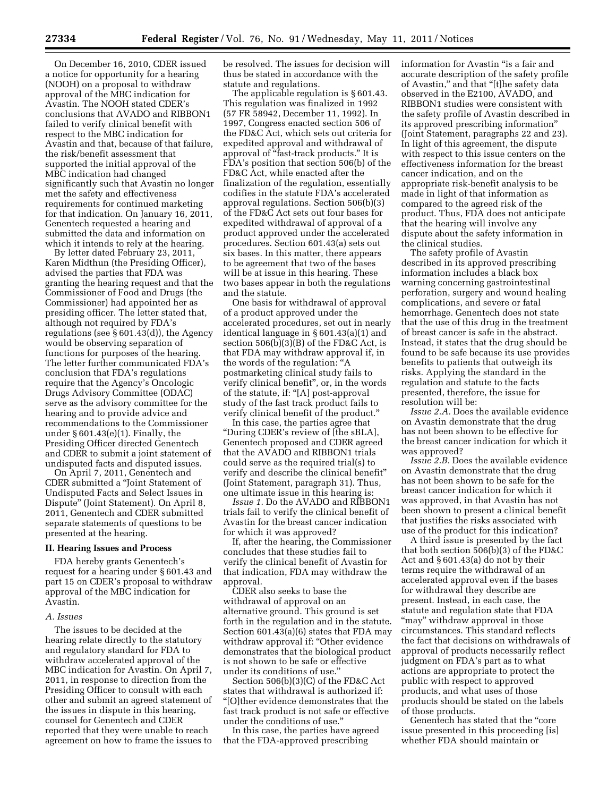On December 16, 2010, CDER issued a notice for opportunity for a hearing (NOOH) on a proposal to withdraw approval of the MBC indication for Avastin. The NOOH stated CDER's conclusions that AVADO and RIBBON1 failed to verify clinical benefit with respect to the MBC indication for Avastin and that, because of that failure, the risk/benefit assessment that supported the initial approval of the MBC indication had changed significantly such that Avastin no longer met the safety and effectiveness requirements for continued marketing for that indication. On January 16, 2011, Genentech requested a hearing and submitted the data and information on which it intends to rely at the hearing.

By letter dated February 23, 2011, Karen Midthun (the Presiding Officer), advised the parties that FDA was granting the hearing request and that the Commissioner of Food and Drugs (the Commissioner) had appointed her as presiding officer. The letter stated that, although not required by FDA's regulations (see § 601.43(d)), the Agency would be observing separation of functions for purposes of the hearing. The letter further communicated FDA's conclusion that FDA's regulations require that the Agency's Oncologic Drugs Advisory Committee (ODAC) serve as the advisory committee for the hearing and to provide advice and recommendations to the Commissioner under  $§ 601.43(e)(1)$ . Finally, the Presiding Officer directed Genentech and CDER to submit a joint statement of undisputed facts and disputed issues.

On April 7, 2011, Genentech and CDER submitted a ''Joint Statement of Undisputed Facts and Select Issues in Dispute'' (Joint Statement). On April 8, 2011, Genentech and CDER submitted separate statements of questions to be presented at the hearing.

## **II. Hearing Issues and Process**

FDA hereby grants Genentech's request for a hearing under § 601.43 and part 15 on CDER's proposal to withdraw approval of the MBC indication for Avastin.

### *A. Issues*

The issues to be decided at the hearing relate directly to the statutory and regulatory standard for FDA to withdraw accelerated approval of the MBC indication for Avastin. On April 7, 2011, in response to direction from the Presiding Officer to consult with each other and submit an agreed statement of the issues in dispute in this hearing, counsel for Genentech and CDER reported that they were unable to reach agreement on how to frame the issues to

be resolved. The issues for decision will thus be stated in accordance with the statute and regulations.

The applicable regulation is § 601.43. This regulation was finalized in 1992 (57 FR 58942, December 11, 1992). In 1997, Congress enacted section 506 of the FD&C Act, which sets out criteria for expedited approval and withdrawal of approval of "fast-track products." It is FDA's position that section 506(b) of the FD&C Act, while enacted after the finalization of the regulation, essentially codifies in the statute FDA's accelerated approval regulations. Section 506(b)(3) of the FD&C Act sets out four bases for expedited withdrawal of approval of a product approved under the accelerated procedures. Section 601.43(a) sets out six bases. In this matter, there appears to be agreement that two of the bases will be at issue in this hearing. These two bases appear in both the regulations and the statute.

One basis for withdrawal of approval of a product approved under the accelerated procedures, set out in nearly identical language in § 601.43(a)(1) and section 506(b)(3)(B) of the FD&C Act, is that FDA may withdraw approval if, in the words of the regulation: ''A postmarketing clinical study fails to verify clinical benefit'', or, in the words of the statute, if: ''[A] post-approval study of the fast track product fails to verify clinical benefit of the product.''

In this case, the parties agree that ''During CDER's review of [the sBLA], Genentech proposed and CDER agreed that the AVADO and RIBBON1 trials could serve as the required trial(s) to verify and describe the clinical benefit'' (Joint Statement, paragraph 31). Thus, one ultimate issue in this hearing is:

*Issue 1.* Do the AVADO and RIBBON1 trials fail to verify the clinical benefit of Avastin for the breast cancer indication for which it was approved?

If, after the hearing, the Commissioner concludes that these studies fail to verify the clinical benefit of Avastin for that indication, FDA may withdraw the approval.

CDER also seeks to base the withdrawal of approval on an alternative ground. This ground is set forth in the regulation and in the statute. Section 601.43(a)(6) states that FDA may withdraw approval if: "Other evidence demonstrates that the biological product is not shown to be safe or effective under its conditions of use.''

Section 506(b)(3)(C) of the FD&C Act states that withdrawal is authorized if: ''[O]ther evidence demonstrates that the fast track product is not safe or effective under the conditions of use.''

In this case, the parties have agreed that the FDA-approved prescribing

information for Avastin "is a fair and accurate description of the safety profile of Avastin,'' and that ''[t]he safety data observed in the E2100, AVADO, and RIBBON1 studies were consistent with the safety profile of Avastin described in its approved prescribing information'' (Joint Statement, paragraphs 22 and 23). In light of this agreement, the dispute with respect to this issue centers on the effectiveness information for the breast cancer indication, and on the appropriate risk-benefit analysis to be made in light of that information as compared to the agreed risk of the product. Thus, FDA does not anticipate that the hearing will involve any dispute about the safety information in the clinical studies.

The safety profile of Avastin described in its approved prescribing information includes a black box warning concerning gastrointestinal perforation, surgery and wound healing complications, and severe or fatal hemorrhage. Genentech does not state that the use of this drug in the treatment of breast cancer is safe in the abstract. Instead, it states that the drug should be found to be safe because its use provides benefits to patients that outweigh its risks. Applying the standard in the regulation and statute to the facts presented, therefore, the issue for resolution will be:

*Issue 2.A.* Does the available evidence on Avastin demonstrate that the drug has not been shown to be effective for the breast cancer indication for which it was approved?

*Issue 2.B.* Does the available evidence on Avastin demonstrate that the drug has not been shown to be safe for the breast cancer indication for which it was approved, in that Avastin has not been shown to present a clinical benefit that justifies the risks associated with use of the product for this indication?

A third issue is presented by the fact that both section 506(b)(3) of the FD&C Act and § 601.43(a) do not by their terms require the withdrawal of an accelerated approval even if the bases for withdrawal they describe are present. Instead, in each case, the statute and regulation state that FDA "may" withdraw approval in those circumstances. This standard reflects the fact that decisions on withdrawals of approval of products necessarily reflect judgment on FDA's part as to what actions are appropriate to protect the public with respect to approved products, and what uses of those products should be stated on the labels of those products.

Genentech has stated that the ''core issue presented in this proceeding [is] whether FDA should maintain or